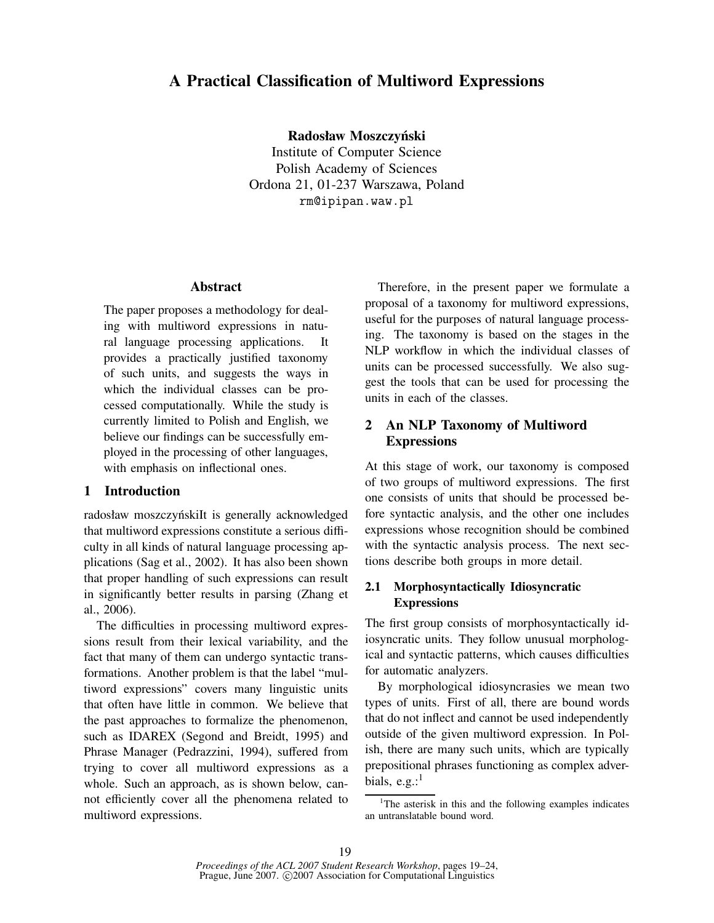# **A Practical Classification of Multiword Expressions**

**Radosław Moszczyński**

Institute of Computer Science Polish Academy of Sciences Ordona 21, 01-237 Warszawa, Poland rm@ipipan.waw.pl

## **Abstract**

The paper proposes a methodology for dealing with multiword expressions in natural language processing applications. It provides a practically justified taxonomy of such units, and suggests the ways in which the individual classes can be processed computationally. While the study is currently limited to Polish and English, we believe our findings can be successfully employed in the processing of other languages, with emphasis on inflectional ones.

#### **1 Introduction**

radosław moszczyńskiIt is generally acknowledged that multiword expressions constitute a serious difficulty in all kinds of natural language processing applications (Sag et al., 2002). It has also been shown that proper handling of such expressions can result in significantly better results in parsing (Zhang et al., 2006).

The difficulties in processing multiword expressions result from their lexical variability, and the fact that many of them can undergo syntactic transformations. Another problem is that the label "multiword expressions" covers many linguistic units that often have little in common. We believe that the past approaches to formalize the phenomenon, such as IDAREX (Segond and Breidt, 1995) and Phrase Manager (Pedrazzini, 1994), suffered from trying to cover all multiword expressions as a whole. Such an approach, as is shown below, cannot efficiently cover all the phenomena related to multiword expressions.

Therefore, in the present paper we formulate a proposal of a taxonomy for multiword expressions, useful for the purposes of natural language processing. The taxonomy is based on the stages in the NLP workflow in which the individual classes of units can be processed successfully. We also suggest the tools that can be used for processing the units in each of the classes.

# **2 An NLP Taxonomy of Multiword Expressions**

At this stage of work, our taxonomy is composed of two groups of multiword expressions. The first one consists of units that should be processed before syntactic analysis, and the other one includes expressions whose recognition should be combined with the syntactic analysis process. The next sections describe both groups in more detail.

# **2.1 Morphosyntactically Idiosyncratic Expressions**

The first group consists of morphosyntactically idiosyncratic units. They follow unusual morphological and syntactic patterns, which causes difficulties for automatic analyzers.

By morphological idiosyncrasies we mean two types of units. First of all, there are bound words that do not inflect and cannot be used independently outside of the given multiword expression. In Polish, there are many such units, which are typically prepositional phrases functioning as complex adverbials,  $e.g.:<sup>1</sup>$ 

<sup>&</sup>lt;sup>1</sup>The asterisk in this and the following examples indicates an untranslatable bound word.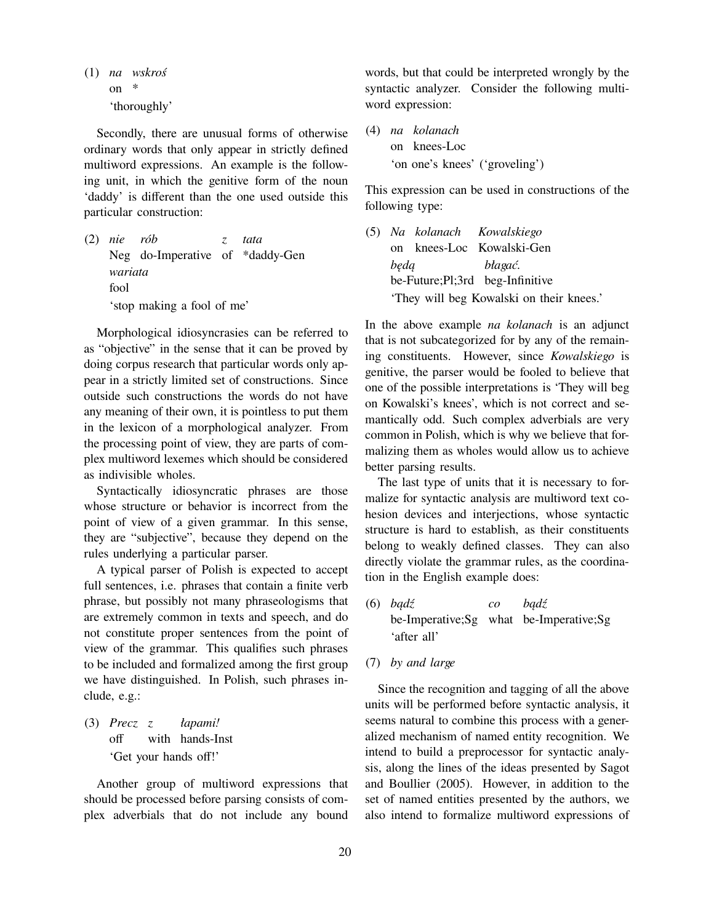(1) *na wskroś* on \* 'thoroughly'

Secondly, there are unusual forms of otherwise ordinary words that only appear in strictly defined multiword expressions. An example is the following unit, in which the genitive form of the noun 'daddy' is different than the one used outside this particular construction:

(2) *nie* Neg do-Imperative of \*daddy-Gen *rób z tata wariata* fool 'stop making a fool of me'

Morphological idiosyncrasies can be referred to as "objective" in the sense that it can be proved by doing corpus research that particular words only appear in a strictly limited set of constructions. Since outside such constructions the words do not have any meaning of their own, it is pointless to put them in the lexicon of a morphological analyzer. From the processing point of view, they are parts of complex multiword lexemes which should be considered as indivisible wholes.

Syntactically idiosyncratic phrases are those whose structure or behavior is incorrect from the point of view of a given grammar. In this sense, they are "subjective", because they depend on the rules underlying a particular parser.

A typical parser of Polish is expected to accept full sentences, i.e. phrases that contain a finite verb phrase, but possibly not many phraseologisms that are extremely common in texts and speech, and do not constitute proper sentences from the point of view of the grammar. This qualifies such phrases to be included and formalized among the first group we have distinguished. In Polish, such phrases include, e.g.:

(3) *Precz z* off with hands-Inst *łapami!* 'Get your hands off!'

Another group of multiword expressions that should be processed before parsing consists of complex adverbials that do not include any bound

words, but that could be interpreted wrongly by the syntactic analyzer. Consider the following multiword expression:

(4) *na kolanach* on knees-Loc 'on one's knees' ('groveling')

This expression can be used in constructions of the following type:

(5) *Na kolanach* on knees-Loc Kowalski-Gen *Kowalskiego będą* be-Future;Pl;3rd beg-Infinitive *błagać.* 'They will beg Kowalski on their knees.'

In the above example *na kolanach* is an adjunct that is not subcategorized for by any of the remaining constituents. However, since *Kowalskiego* is genitive, the parser would be fooled to believe that one of the possible interpretations is 'They will beg on Kowalski's knees', which is not correct and semantically odd. Such complex adverbials are very common in Polish, which is why we believe that formalizing them as wholes would allow us to achieve better parsing results.

The last type of units that it is necessary to formalize for syntactic analysis are multiword text cohesion devices and interjections, whose syntactic structure is hard to establish, as their constituents belong to weakly defined classes. They can also directly violate the grammar rules, as the coordination in the English example does:

- (6) *bądź* be-Imperative;Sg what be-Imperative;Sg *co bądź* 'after all'
- (7) *by and large*

Since the recognition and tagging of all the above units will be performed before syntactic analysis, it seems natural to combine this process with a generalized mechanism of named entity recognition. We intend to build a preprocessor for syntactic analysis, along the lines of the ideas presented by Sagot and Boullier (2005). However, in addition to the set of named entities presented by the authors, we also intend to formalize multiword expressions of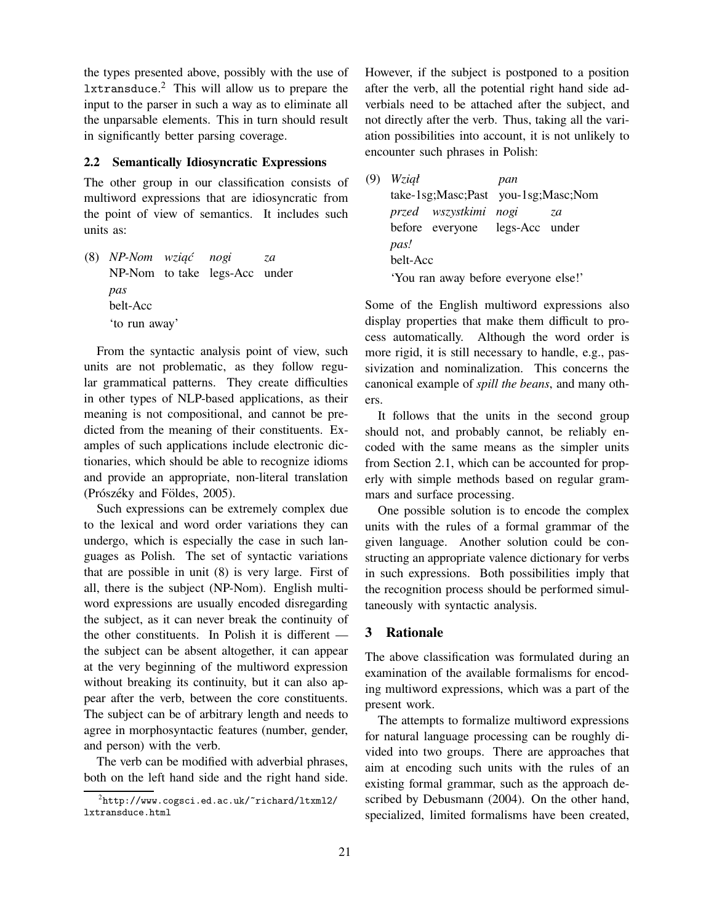the types presented above, possibly with the use of lxtransduce. <sup>2</sup> This will allow us to prepare the input to the parser in such a way as to eliminate all the unparsable elements. This in turn should result in significantly better parsing coverage.

#### **2.2 Semantically Idiosyncratic Expressions**

The other group in our classification consists of multiword expressions that are idiosyncratic from the point of view of semantics. It includes such units as:

(8) *NP-Nom wziąć* NP-Nom to take legs-Acc under *nogi za pas* belt-Acc 'to run away'

From the syntactic analysis point of view, such units are not problematic, as they follow regular grammatical patterns. They create difficulties in other types of NLP-based applications, as their meaning is not compositional, and cannot be predicted from the meaning of their constituents. Examples of such applications include electronic dictionaries, which should be able to recognize idioms and provide an appropriate, non-literal translation (Prószéky and Földes, 2005).

Such expressions can be extremely complex due to the lexical and word order variations they can undergo, which is especially the case in such languages as Polish. The set of syntactic variations that are possible in unit (8) is very large. First of all, there is the subject (NP-Nom). English multiword expressions are usually encoded disregarding the subject, as it can never break the continuity of the other constituents. In Polish it is different the subject can be absent altogether, it can appear at the very beginning of the multiword expression without breaking its continuity, but it can also appear after the verb, between the core constituents. The subject can be of arbitrary length and needs to agree in morphosyntactic features (number, gender, and person) with the verb.

The verb can be modified with adverbial phrases, both on the left hand side and the right hand side. However, if the subject is postponed to a position after the verb, all the potential right hand side adverbials need to be attached after the subject, and not directly after the verb. Thus, taking all the variation possibilities into account, it is not unlikely to encounter such phrases in Polish:

(9) *Wziął* take-1sg;Masc;Past you-1sg;Masc;Nom *pan przed wszystkimi* before everyone *nogi* legs-Acc under *za pas!* belt-Acc 'You ran away before everyone else!'

Some of the English multiword expressions also display properties that make them difficult to process automatically. Although the word order is more rigid, it is still necessary to handle, e.g., passivization and nominalization. This concerns the canonical example of *spill the beans*, and many others.

It follows that the units in the second group should not, and probably cannot, be reliably encoded with the same means as the simpler units from Section 2.1, which can be accounted for properly with simple methods based on regular grammars and surface processing.

One possible solution is to encode the complex units with the rules of a formal grammar of the given language. Another solution could be constructing an appropriate valence dictionary for verbs in such expressions. Both possibilities imply that the recognition process should be performed simultaneously with syntactic analysis.

## **3 Rationale**

The above classification was formulated during an examination of the available formalisms for encoding multiword expressions, which was a part of the present work.

The attempts to formalize multiword expressions for natural language processing can be roughly divided into two groups. There are approaches that aim at encoding such units with the rules of an existing formal grammar, such as the approach described by Debusmann (2004). On the other hand, specialized, limited formalisms have been created,

 $^2$ http://www.cogsci.ed.ac.uk/~richard/ltxml2/ lxtransduce.html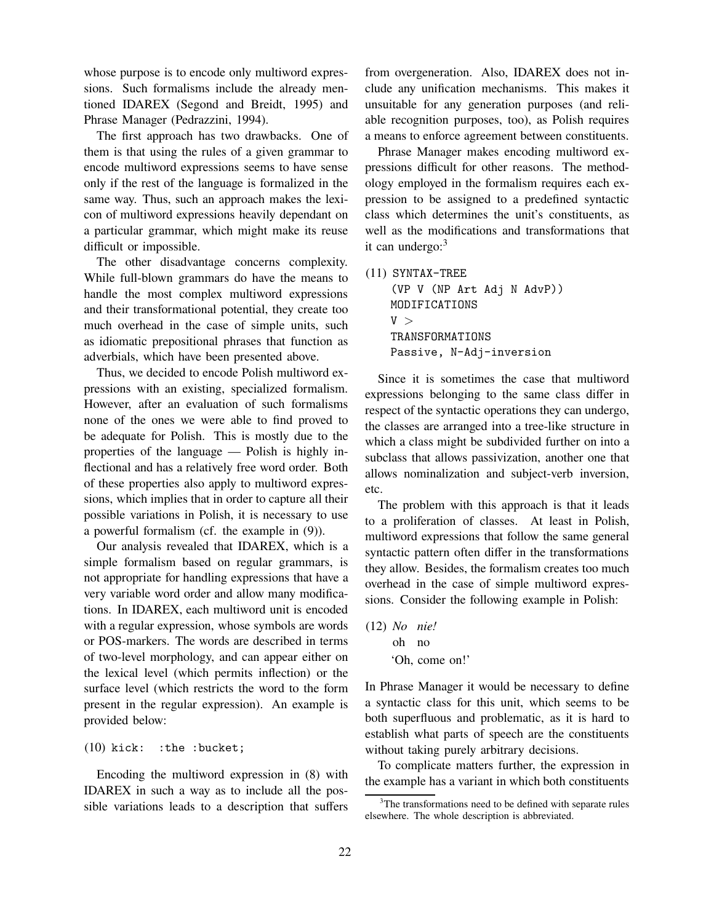whose purpose is to encode only multiword expressions. Such formalisms include the already mentioned IDAREX (Segond and Breidt, 1995) and Phrase Manager (Pedrazzini, 1994).

The first approach has two drawbacks. One of them is that using the rules of a given grammar to encode multiword expressions seems to have sense only if the rest of the language is formalized in the same way. Thus, such an approach makes the lexicon of multiword expressions heavily dependant on a particular grammar, which might make its reuse difficult or impossible.

The other disadvantage concerns complexity. While full-blown grammars do have the means to handle the most complex multiword expressions and their transformational potential, they create too much overhead in the case of simple units, such as idiomatic prepositional phrases that function as adverbials, which have been presented above.

Thus, we decided to encode Polish multiword expressions with an existing, specialized formalism. However, after an evaluation of such formalisms none of the ones we were able to find proved to be adequate for Polish. This is mostly due to the properties of the language — Polish is highly inflectional and has a relatively free word order. Both of these properties also apply to multiword expressions, which implies that in order to capture all their possible variations in Polish, it is necessary to use a powerful formalism (cf. the example in (9)).

Our analysis revealed that IDAREX, which is a simple formalism based on regular grammars, is not appropriate for handling expressions that have a very variable word order and allow many modifications. In IDAREX, each multiword unit is encoded with a regular expression, whose symbols are words or POS-markers. The words are described in terms of two-level morphology, and can appear either on the lexical level (which permits inflection) or the surface level (which restricts the word to the form present in the regular expression). An example is provided below:

#### (10) kick: :the :bucket;

Encoding the multiword expression in (8) with IDAREX in such a way as to include all the possible variations leads to a description that suffers from overgeneration. Also, IDAREX does not include any unification mechanisms. This makes it unsuitable for any generation purposes (and reliable recognition purposes, too), as Polish requires a means to enforce agreement between constituents.

Phrase Manager makes encoding multiword expressions difficult for other reasons. The methodology employed in the formalism requires each expression to be assigned to a predefined syntactic class which determines the unit's constituents, as well as the modifications and transformations that it can undergo:<sup>3</sup>

(11) SYNTAX-TREE (VP V (NP Art Adj N AdvP)) MODIFICATIONS  $V >$ TRANSFORMATIONS

Passive, N-Adj-inversion

Since it is sometimes the case that multiword expressions belonging to the same class differ in respect of the syntactic operations they can undergo, the classes are arranged into a tree-like structure in which a class might be subdivided further on into a subclass that allows passivization, another one that allows nominalization and subject-verb inversion, etc.

The problem with this approach is that it leads to a proliferation of classes. At least in Polish, multiword expressions that follow the same general syntactic pattern often differ in the transformations they allow. Besides, the formalism creates too much overhead in the case of simple multiword expressions. Consider the following example in Polish:

(12) *No nie!* oh no 'Oh, come on!'

In Phrase Manager it would be necessary to define a syntactic class for this unit, which seems to be both superfluous and problematic, as it is hard to establish what parts of speech are the constituents without taking purely arbitrary decisions.

To complicate matters further, the expression in the example has a variant in which both constituents

<sup>&</sup>lt;sup>3</sup>The transformations need to be defined with separate rules elsewhere. The whole description is abbreviated.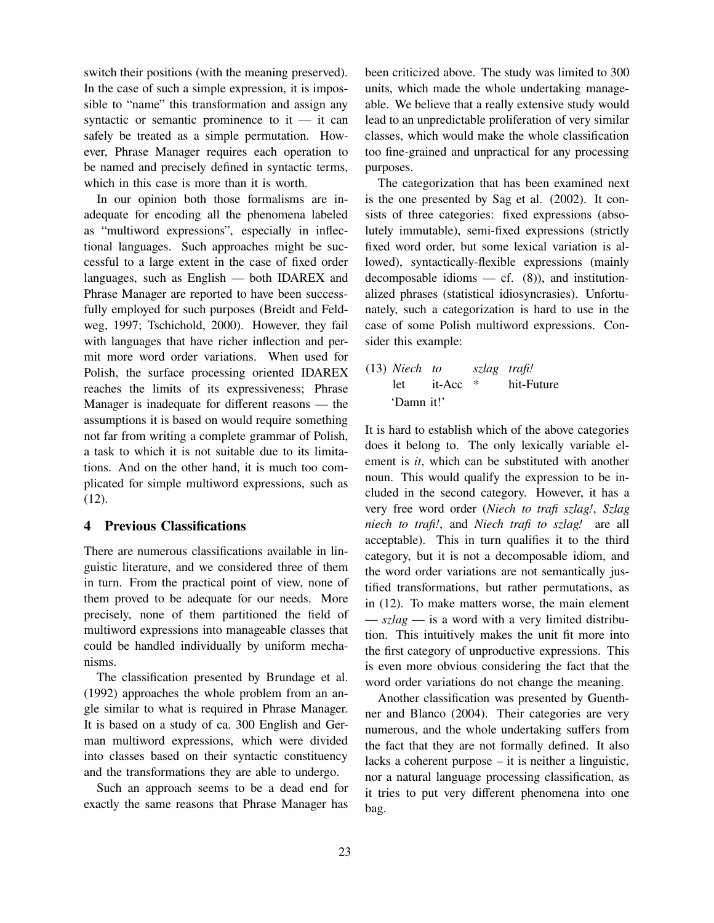switch their positions (with the meaning preserved). In the case of such a simple expression, it is impossible to "name" this transformation and assign any syntactic or semantic prominence to it  $-$  it can safely be treated as a simple permutation. However, Phrase Manager requires each operation to be named and precisely defined in syntactic terms, which in this case is more than it is worth.

In our opinion both those formalisms are inadequate for encoding all the phenomena labeled as "multiword expressions", especially in inflectional languages. Such approaches might be successful to a large extent in the case of fixed order languages, such as English — both IDAREX and Phrase Manager are reported to have been successfully employed for such purposes (Breidt and Feldweg, 1997; Tschichold, 2000). However, they fail with languages that have richer inflection and permit more word order variations. When used for Polish, the surface processing oriented IDAREX reaches the limits of its expressiveness; Phrase Manager is inadequate for different reasons — the assumptions it is based on would require something not far from writing a complete grammar of Polish, a task to which it is not suitable due to its limitations. And on the other hand, it is much too complicated for simple multiword expressions, such as (12).

## **4 Previous Classifications**

There are numerous classifications available in linguistic literature, and we considered three of them in turn. From the practical point of view, none of them proved to be adequate for our needs. More precisely, none of them partitioned the field of multiword expressions into manageable classes that could be handled individually by uniform mechanisms.

The classification presented by Brundage et al. (1992) approaches the whole problem from an angle similar to what is required in Phrase Manager. It is based on a study of ca. 300 English and German multiword expressions, which were divided into classes based on their syntactic constituency and the transformations they are able to undergo.

Such an approach seems to be a dead end for exactly the same reasons that Phrase Manager has been criticized above. The study was limited to 300 units, which made the whole undertaking manageable. We believe that a really extensive study would lead to an unpredictable proliferation of very similar classes, which would make the whole classification too fine-grained and unpractical for any processing purposes.

The categorization that has been examined next is the one presented by Sag et al. (2002). It consists of three categories: fixed expressions (absolutely immutable), semi-fixed expressions (strictly fixed word order, but some lexical variation is allowed), syntactically-flexible expressions (mainly decomposable idioms  $-$  cf. (8)), and institutionalized phrases (statistical idiosyncrasies). Unfortunately, such a categorization is hard to use in the case of some Polish multiword expressions. Consider this example:

(13) *Niech to* let it-Acc *szlag trafi!* \* hit-Future 'Damn it!'

It is hard to establish which of the above categories does it belong to. The only lexically variable element is *it*, which can be substituted with another noun. This would qualify the expression to be included in the second category. However, it has a very free word order (*Niech to trafi szlag!*, *Szlag niech to trafi!*, and *Niech trafi to szlag!* are all acceptable). This in turn qualifies it to the third category, but it is not a decomposable idiom, and the word order variations are not semantically justified transformations, but rather permutations, as in (12). To make matters worse, the main element — *szlag* — is a word with a very limited distribution. This intuitively makes the unit fit more into the first category of unproductive expressions. This is even more obvious considering the fact that the word order variations do not change the meaning.

Another classification was presented by Guenthner and Blanco (2004). Their categories are very numerous, and the whole undertaking suffers from the fact that they are not formally defined. It also lacks a coherent purpose – it is neither a linguistic, nor a natural language processing classification, as it tries to put very different phenomena into one bag.